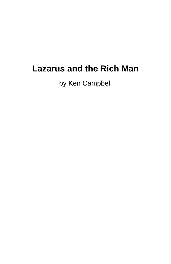# **Lazarus and the Rich Man**

by Ken Campbell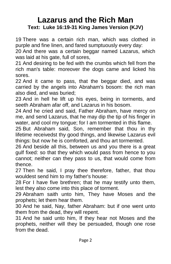# **Lazarus and the Rich Man Text: Luke 16:19-31 King James Version (KJV)**

19 There was a certain rich man, which was clothed in purple and fine linen, and fared sumptuously every day:

20 And there was a certain beggar named Lazarus, which was laid at his gate, full of sores,

21 And desiring to be fed with the crumbs which fell from the rich man's table: moreover the dogs came and licked his sores.

22 And it came to pass, that the beggar died, and was carried by the angels into Abraham's bosom: the rich man also died, and was buried;

23 And in hell he lift up his eyes, being in torments, and seeth Abraham afar off, and Lazarus in his bosom.

24 And he cried and said, Father Abraham, have mercy on me, and send Lazarus, that he may dip the tip of his finger in water, and cool my tongue; for I am tormented in this flame.

25 But Abraham said, Son, remember that thou in thy lifetime receivedst thy good things, and likewise Lazarus evil things: but now he is comforted, and thou art tormented.

26 And beside all this, between us and you there is a great gulf fixed: so that they which would pass from hence to you cannot; neither can they pass to us, that would come from thence.

27 Then he said, I pray thee therefore, father, that thou wouldest send him to my father's house:

28 For I have five brethren; that he may testify unto them, lest they also come into this place of torment.

29 Abraham saith unto him, They have Moses and the prophets; let them hear them.

30 And he said, Nay, father Abraham: but if one went unto them from the dead, they will repent.

31 And he said unto him, If they hear not Moses and the prophets, neither will they be persuaded, though one rose from the dead.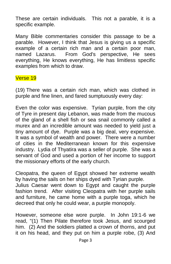These are certain individuals. This not a parable, it is a specific example.

Many Bible commentaries consider this passage to be a parable. However, I think that Jesus is giving us a specific example of a certain rich man and a certain poor man, named Lazarus. From God's perspective, He sees everything, He knows everything, He has limitless specific examples from which to draw.

# Verse 19

(19) There was a certain rich man, which was clothed in purple and fine linen, and fared sumptuously every day:

Even the color was expensive. Tyrian purple, from the city of Tyre in present day Lebanon, was made from the mucous of the gland of a shell fish or sea snail commonly called a murex and an incredible amount was needed to yield just a tiny amount of dye. Purple was a big deal, very expensive. It was a symbol of wealth and power. There were a number of cities in the Mediterranean known for this expensive industry. Lydia of Thyatira was a seller of purple. She was a servant of God and used a portion of her income to support the missionary efforts of the early church.

Cleopatra, the queen of Egypt showed her extreme wealth by having the sails on her ships dyed with Tyrian purple.

Julius Caesar went down to Egypt and caught the purple fashion trend. After visiting Cleopatra with her purple sails and furniture, he came home with a purple toga, which he decreed that only he could wear, a purple monopoly.

However, someone else wore purple. In John 19:1-6 we read, "(1) Then Pilate therefore took Jesus, and scourged him. (2) And the soldiers platted a crown of thorns, and put it on his head, and they put on him a purple robe, (3) And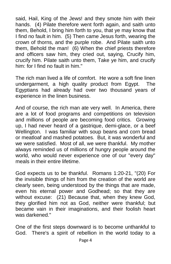said, Hail, King of the Jews! and they smote him with their hands. (4) Pilate therefore went forth again, and saith unto them, Behold, I bring him forth to you, that ye may know that I find no fault in him. (5) Then came Jesus forth, wearing the crown of thorns, and the purple robe. And Pilate saith unto them, Behold the man! (6) When the chief priests therefore and officers saw him, they cried out, saying, Crucify him, crucify him. Pilate saith unto them, Take ye him, and crucify him: for I find no fault in him."

The rich man lived a life of comfort. He wore a soft fine linen undergarment, a high quality product from Egypt. The Egyptians had already had over two thousand years of experience in the linen business.

And of course, the rich man ate very well. In America, there are a lot of food programs and competitions on television and millions of people are becoming food critics. Growing up, I had never heard of a gastrique, demi-glace, or a beef Wellington. I was familiar with soup beans and corn bread or meatloaf and mashed potatoes. But, it was wonderful and we were satisfied. Most of all, we were thankful. My mother always reminded us of millions of hungry people around the world, who would never experience one of our "every day" meals in their entire lifetime.

God expects us to be thankful. Romans 1:20-21, "(20) For the invisible things of him from the creation of the world are clearly seen, being understood by the things that are made, even his eternal power and Godhead; so that they are without excuse: (21) Because that, when they knew God, they glorified him not as God, neither were thankful; but became vain in their imaginations, and their foolish heart was darkened."

One of the first steps downward is to become unthankful to God. There's a spirit of rebellion in the world today to a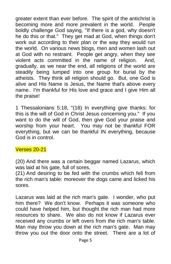greater extent than ever before. The spirit of the antichrist is becoming more and more prevalent in the world. People boldly challenge God saying, "If there is a god, why doesn't he do this or that." They get mad at God, when things don't work out according to their plan or the way they would run the world. On various news blogs, men and women lash out at God with no restraint. People get angry, when they see violent acts committed in the name of religion. And, gradually, as we near the end, all religions of the world are steadily being lumped into one group for burial by the atheists. They think all religion should go. But, one God is alive and His Name is Jesus, the Name that's above every name. I'm thankful for His love and grace and I give Him all the praise!

1 Thessalonians 5:18, "(18) In everything give thanks: for this is the will of God in Christ Jesus concerning you." If you want to do the will of God, then give God your praise and worship from your heart. You may not be thankful FOR everything, but we can be thankful IN everything, because God is in control.

#### Verses 20-21

(20) And there was a certain beggar named Lazarus, which was laid at his gate, full of sores,

(21) And desiring to be fed with the crumbs which fell from the rich man's table: moreover the dogs came and licked his sores.

Lazarus was laid at the rich man's gate. I wonder, who put him there? We don't know. Perhaps it was someone who could have helped him, but thought the rich man had more resources to share. We also do not know if Lazarus ever received any crumbs or left overs from the rich man's table. Man may throw you down at the rich man's gate. Man may throw you out the door onto the street. There are a lot of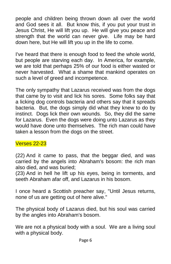people and children being thrown down all over the world and God sees it all. But know this, if you put your trust in Jesus Christ, He will lift you up. He will give you peace and strength that the world can never give. Life may be hard down here, but He will lift you up in the life to come.

I've heard that there is enough food to feed the whole world, but people are starving each day. In America, for example, we are told that perhaps 25% of our food is either wasted or never harvested. What a shame that mankind operates on such a level of greed and incompetence.

The only sympathy that Lazarus received was from the dogs that came by to visit and lick his sores. Some folks say that a licking dog controls bacteria and others say that it spreads bacteria. But, the dogs simply did what they knew to do by instinct. Dogs lick their own wounds. So, they did the same for Lazarus. Even the dogs were doing unto Lazarus as they would have done unto themselves. The rich man could have taken a lesson from the dogs on the street.

# Verses 22-23

(22) And it came to pass, that the beggar died, and was carried by the angels into Abraham's bosom: the rich man also died, and was buried;

(23) And in hell he lift up his eyes, being in torments, and seeth Abraham afar off, and Lazarus in his bosom.

I once heard a Scottish preacher say, "Until Jesus returns, none of us are getting out of here alive."

The physical body of Lazarus died, but his soul was carried by the angles into Abraham's bosom.

We are not a physical body with a soul. We are a living soul with a physical body.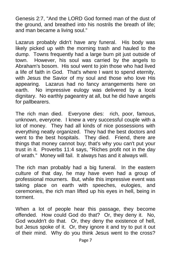Genesis 2:7, "And the LORD God formed man of the dust of the ground, and breathed into his nostrils the breath of life; and man became a living soul."

Lazarus probably didn't have any funeral. His body was likely picked up with the morning trash and hauled to the dump. Towns frequently had a large burn pit just outside of town. However, his soul was carried by the angels to Abraham's bosom. His soul went to join those who had lived a life of faith in God. That's where I want to spend eternity, with Jesus the Savior of my soul and those who love His appearing. Lazarus had no fancy arrangements here on earth. No impressive eulogy was delivered by a local dignitary. No earthly pageantry at all, but he did have angels for pallbearers.

The rich man died. Everyone dies: rich, poor, famous, unknown, everyone. I knew a very successful couple with a lot of money. They had all kinds of nice possessions with everything neatly organized. They had the best doctors and went to the best hospitals. They died. Friend, there are things that money cannot buy; that's why you can't put your trust in it. Proverbs 11:4 says, "Riches profit not in the day of wrath." Money will fail. It always has and it always will.

The rich man probably had a big funeral. In the eastern culture of that day, he may have even had a group of professional mourners. But, while this impressive event was taking place on earth with speeches, eulogies, and ceremonies, the rich man lifted up his eyes in hell, being in torment.

When a lot of people hear this passage, they become offended. How could God do that? Or, they deny it. No, God wouldn't do that. Or, they deny the existence of hell, but Jesus spoke of it. Or, they ignore it and try to put it out of their mind. Why do you think Jesus went to the cross?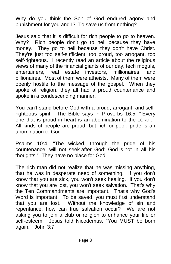Why do you think the Son of God endured agony and punishment for you and I? To save us from nothing?

Jesus said that it is difficult for rich people to go to heaven. Why? Rich people don't go to hell because they have money. They go to hell because they don't have Christ. They're just too self-sufficient, too proud, too arrogant, too self-righteous. I recently read an article about the religious views of many of the financial giants of our day, tech moguls, entertainers, real estate investors, millionaires, and billionaires. Most of them were atheists. Many of them were openly hostile to the message of the gospel. When they spoke of religion, they all had a proud countenance and spoke in a condescending manner.

You can't stand before God with a proud, arrogant, and selfrighteous spirit. The Bible says in Proverbs 16:5, " Every one that is proud in heart is an abomination to the LORD..." All kinds of people are proud, but rich or poor, pride is an abomination to God.

Psalms 10:4, "The wicked, through the pride of his countenance, will not seek after God: God is not in all his thoughts." They have no place for God.

The rich man did not realize that he was missing anything, that he was in desperate need of something. If you don't know that you are sick, you won't seek healing. If you don't know that you are lost, you won't seek salvation. That's why the Ten Commandments are important. That's why God's Word is important. To be saved, you must first understand that you are lost. Without the knowledge of sin and repentance, how can true salvation occur? We are not asking you to join a club or religion to enhance your life or self-esteem. Jesus told Nicodemus, "You MUST be born again." John 3:7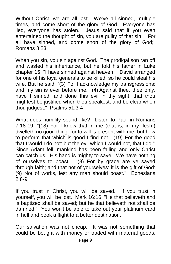Without Christ, we are all lost. We've all sinned, multiple times, and come short of the glory of God. Everyone has lied, everyone has stolen. Jesus said that if you even entertained the thought of sin, you are guilty of that sin. "For all have sinned, and come short of the glory of God;" Romans 3:23.

When you sin, you sin against God. The prodigal son ran off and wasted his inheritance, but he told his father in Luke chapter 15, "I have sinned against heaven." David arranged for one of his loyal generals to be killed, so he could steal his wife. But he said, "(3) For I acknowledge my transgressions: and my sin is ever before me. (4) Against thee, thee only, have I sinned, and done this evil in thy sight: that thou mightest be justified when thou speakest, and be clear when thou judgest." Psalms 51:3-4

What does humility sound like? Listen to Paul in Romans 7:18-19, "(18) For I know that in me (that is, in my flesh,) dwelleth no good thing: for to will is present with me; but how to perform that which is good I find not. (19) For the good that I would I do not: but the evil which I would not, that I do." Since Adam fell, mankind has been falling and only Christ can catch us. His hand is mighty to save! We have nothing of ourselves to boast. "(8) For by grace are ye saved through faith; and that not of yourselves: it is the gift of God: (9) Not of works, lest any man should boast." Ephesians 2:8-9

If you trust in Christ, you will be saved. If you trust in yourself, you will be lost. Mark 16:16, "He that believeth and is baptized shall be saved; but he that believeth not shall be damned." You won't be able to take out your platinum card in hell and book a flight to a better destination.

Our salvation was not cheap. It was not something that could be bought with money or traded with material goods.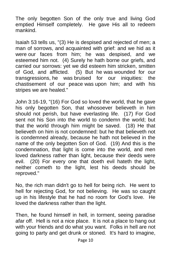The only begotten Son of the only true and living God emptied Himself completely. He gave His all to redeem mankind.

Isaiah 53 tells us, "(3) He is despised and rejected of men; a man of sorrows, and acquainted with grief: and we hid as it were our faces from him; he was despised, and we esteemed him not. (4) Surely he hath borne our griefs, and carried our sorrows: yet we did esteem him stricken, smitten of God, and afflicted. (5) But he was wounded for our transgressions, he was bruised for our iniquities: the chastisement of our peace was upon him; and with his stripes we are healed."

John 3:16-19, "(16) For God so loved the world, that he gave his only begotten Son, that whosoever believeth in him should not perish, but have everlasting life. (17) For God sent not his Son into the world to condemn the world; but that the world through him might be saved. (18) He that believeth on him is not condemned: but he that believeth not is condemned already, because he hath not believed in the name of the only begotten Son of God. (19) And this is the condemnation, that light is come into the world, and men loved darkness rather than light, because their deeds were evil. [\(20\)](http://biblehub.com/john/3-20.htm) For every one that doeth evil hateth the light, neither cometh to the light, lest his deeds should be reproved."

No, the rich man didn't go to hell for being rich. He went to hell for rejecting God, for not believing. He was so caught up in his lifestyle that he had no room for God's love. He loved the darkness rather than the light.

Then, he found himself in hell, in torment, seeing paradise afar off. Hell is not a nice place. It is not a place to hang out with your friends and do what you want. Folks in hell are not going to party and get drunk or stoned. It's hard to imagine,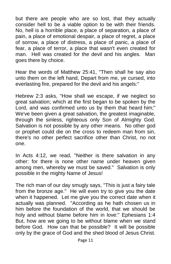but there are people who are so lost, that they actually consider hell to be a viable option to be with their friends. No, hell is a horrible place, a place of separation, a place of pain, a place of emotional despair, a place of regret, a place of sorrow, a place of distress, a place of panic, a place of fear, a place of terror, a place that wasn't even created for man. Hell was created for the devil and his angles. Man goes there by choice.

Hear the words of Matthew 25:41, "Then shall he say also unto them on the left hand, Depart from me, ye cursed, into everlasting fire, prepared for the devil and his angels:"

Hebrew 2:3 asks, "How shall we escape, if we neglect so great salvation; which at the first began to be spoken by the Lord, and was confirmed unto us by them that heard him;" We've been given a great salvation, the greatest imaginable, through the sinless, righteous only Son of Almighty God. Salvation is not possible by any other means. No other god or prophet could die on the cross to redeem man from sin, there's no other perfect sacrifice other than Christ, no not one.

In Acts 4:12, we read, "Neither is there salvation in any other: for there is none other name under heaven given among men, whereby we must be saved." Salvation is only possible in the mighty Name of Jesus!

The rich man of our day smugly says, "This is just a fairy tale from the bronze age." He will even try to give you the date when it happened. Let me give you the correct date when it actually was planned. "According as he hath chosen us in him before the foundation of the world, that we should be holy and without blame before him in love:" Ephesians 1:4 But, how are we going to be without blame when we stand before God. How can that be possible? It will be possible only by the grace of God and the shed blood of Jesus Christ.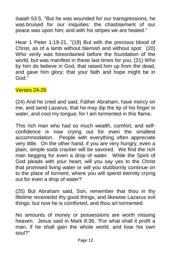Isaiah 53:5, "But he was wounded for our transgressions, he was bruised for our iniquities: the chastisement of our peace was upon him; and with his stripes we are healed."

Hear 1 Peter 1:19-21, "(19) But with the precious blood of Christ, as of a lamb without blemish and without spot: (20) Who verily was foreordained before the foundation of the world, but was manifest in these last times for you, (21) Who by him do believe in God, that raised him up from the dead, and gave him glory; that your faith and hope might be in God."

# Verses 24-26

(24) And he cried and said, Father Abraham, have mercy on me, and send Lazarus, that he may dip the tip of his finger in water, and cool my tongue; for I am tormented in this flame.

This rich man who had so much wealth, comfort, and selfconfidence is now crying out for even the smallest accommodation. People with everything often appreciate very little. On the other hand, if you are very hungry, even a plain, simple soda cracker will be savored. We find the rich man begging for even a drop of water. While the Spirit of God pleads with your heart, will you say yes to the Christ that promised living water or will you stubbornly continue on to the place of torment, where you will spend eternity crying out for even a drop of water?

(25) But Abraham said, Son, remember that thou in thy lifetime receivedst thy good things, and likewise Lazarus evil things: but now he is comforted, and thou art tormented.

No amounts of money or possessions are worth missing heaven. Jesus said in Mark 8:36, "For what shall it profit a man, if he shall gain the whole world, and lose his own soul?"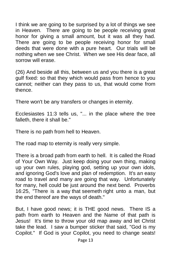I think we are going to be surprised by a lot of things we see in Heaven. There are going to be people receiving great honor for giving a small amount, but it was all they had. There are going to be people receiving honor for small deeds that were done with a pure heart. Our trials will be nothing when we see Christ. When we see His dear face, all sorrow will erase.

(26) And beside all this, between us and you there is a great gulf fixed: so that they which would pass from hence to you cannot; neither can they pass to us, that would come from thence.

There won't be any transfers or changes in eternity.

Ecclesiastes 11:3 tells us, "... in the place where the tree falleth, there it shall be."

There is no path from hell to Heaven.

The road map to eternity is really very simple.

There is a broad path from earth to hell. It is called the Road of Your Own Way. Just keep doing your own thing, making up your own rules, playing god, setting up your own idols, and ignoring God's love and plan of redemption. It's an easy road to travel and many are going that way. Unfortunately for many, hell could be just around the next bend. Proverbs 16:25, "There is a way that seemeth right unto a man, but the end thereof are the ways of death."

But, I have good news; it is THE good news. There IS a path from earth to Heaven and the Name of that path is Jesus! It's time to throw your old map away and let Christ take the lead. I saw a bumper sticker that said, "God is my Copilot." If God is your Copilot, you need to change seats!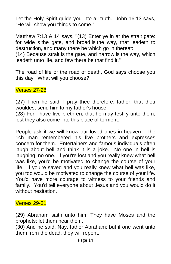Let the Holy Spirit guide you into all truth. John 16:13 says, "He will show you things to come."

Matthew 7:13 & 14 says, "(13) Enter ye in at the strait gate: for wide is the gate, and broad is the way, that leadeth to destruction, and many there be which go in thereat:

(14) Because strait is the gate, and narrow is the way, which leadeth unto life, and few there be that find it."

The road of life or the road of death, God says choose you this day. What will you choose?

Verses 27-28

(27) Then he said, I pray thee therefore, father, that thou wouldest send him to my father's house:

(28) For I have five brethren; that he may testify unto them, lest they also come into this place of torment.

People ask if we will know our loved ones in heaven. The rich man remembered his five brothers and expresses concern for them. Entertainers and famous individuals often laugh about hell and think it is a joke. No one in hell is laughing, no one. If you're lost and you really knew what hell was like, you'd be motivated to change the course of your life. If you're saved and you really knew what hell was like, you too would be motivated to change the course of your life. You'd have more courage to witness to your friends and family. You'd tell everyone about Jesus and you would do it without hesitation.

# Verses 29-31

(29) Abraham saith unto him, They have Moses and the prophets; let them hear them.

(30) And he said, Nay, father Abraham: but if one went unto them from the dead, they will repent.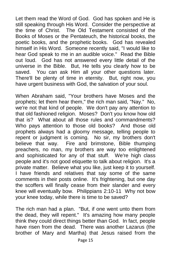Let them read the Word of God. God has spoken and He is still speaking through His Word. Consider the perspective at the time of Christ. The Old Testament consisted of the Books of Moses or the Pentateuch, the historical books, the poetic books, and the prophetic books. God has revealed himself in His Word. Someone recently said, "I would like to hear God speak to me in an audible voice." Read the Bible out loud. God has not answered every little detail of the universe in the Bible. But, He tells you clearly how to be saved. You can ask Him all your other questions later. There'll be plenty of time in eternity. But, right now, you have urgent business with God, the salvation of your soul.

When Abraham said, "Your brothers have Moses and the prophets; let them hear them," the rich man said, "Nay." No, we're not that kind of people. We don't pay any attention to that old fashioned religion. Moses? Don't you know how old that is? What about all those rules and commandments? Who pays attention to those old books? And those old prophets always had a gloomy message, telling people to repent or judgment is coming. No sir, my brothers don't believe that way. Fire and brimstone, Bible thumping preachers, no man, my brothers are way too enlightened and sophisticated for any of that stuff. We're high class people and it's not good etiquette to talk about religion. It's a private matter. Believe what you like, just keep it to yourself. I have friends and relatives that say some of the same comments in their posts online. It's frightening, but one day the scoffers will finally cease from their slander and every knee will eventually bow. Philippians 2:10-11 Why not bow your knee today, while there is time to be saved?

The rich man had a plan. "But, if one went unto them from the dead, they will repent." It's amazing how many people think they could direct things better than God. In fact, people have risen from the dead. There was another Lazarus (the brother of Mary and Martha) that Jesus raised from the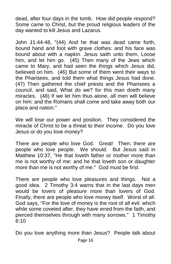dead, after four days in the tomb. How did people respond? Some came to Christ, but the proud religious leaders of the day wanted to kill Jesus and Lazarus.

John 11:44-48, "(44) And he that was dead came forth, bound hand and foot with grave clothes: and his face was bound about with a napkin. Jesus saith unto them, Loose him, and let him go. (45) Then many of the Jews which came to Mary, and had seen the things which Jesus did, believed on him. (46) But some of them went their ways to the Pharisees, and told them what things Jesus had done. (47) Then gathered the chief priests and the Pharisees a council, and said, What do we? for this man doeth many miracles. (48) If we let him thus alone, all men will believe on him: and the Romans shall come and take away both our place and nation."

We will lose our power and position. They considered the miracle of Christ to be a threat to their income. Do you love Jesus or do you love money?

There are people who love God. Great! Then, there are people who love people. We should. But Jesus said in Matthew 10:37, "He that loveth father or mother more than me is not worthy of me: and he that loveth son or daughter more than me is not worthy of me." God must be first.

There are people who love pleasures and things. Not a good idea. 2 Timothy 3:4 warns that in the last days men would be lovers of pleasure more than lovers of God. Finally, there are people who love money itself. Worst of all. God says, "For the love of money is the root of all evil: which while some coveted after, they have erred from the faith, and pierced themselves through with many sorrows." 1 Timothy 6:10

Do you love anything more than Jesus? People talk about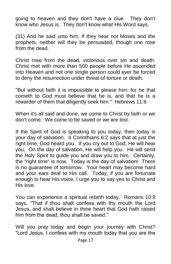going to heaven and they don't have a clue. They don't know who Jesus is. They don't know what His Word says.

(31) And he said unto him, If they hear not Moses and the prophets, neither will they be persuaded, though one rose from the dead.

Christ rose from the dead, victorious over sin and death. Christ met with more than 500 people before He ascended into Heaven and not one single person could ever be forced to deny the resurrection under threat of torture or death.

"But without faith it is impossible to please him: for he that cometh to God must believe that he is, and that he is a rewarder of them that diligently seek him." Hebrews 11:6

When it's all said and done, we come to Christ by faith or we don't come. We come to be saved or we are lost.

If the Spirit of God is speaking to you today, then today is your day of salvation. II Corinthians 6:2 says that at just the right time, God heard you. If you cry out to God, He will hear you. On the day of salvation, He will help you. He will send the Holy Spirit to guide you and draw you to him. Certainly, the "right time" is now. Today is the day of salvation! There is no guarantee of tomorrow. Your heart may become hard and your ears deaf to His call. Today, if you are fortunate enough to hear His voice, I urge you to say yes to Christ and His love.

You can experience a spiritual rebirth today. Romans 10:9 says, "That if thou shalt confess with thy mouth the Lord Jesus, and shalt believe in thine heart that God hath raised him from the dead, thou shalt be saved."

Will you pray today and begin your journey with Christ? "Lord Jesus, I confess with my mouth today that you are the